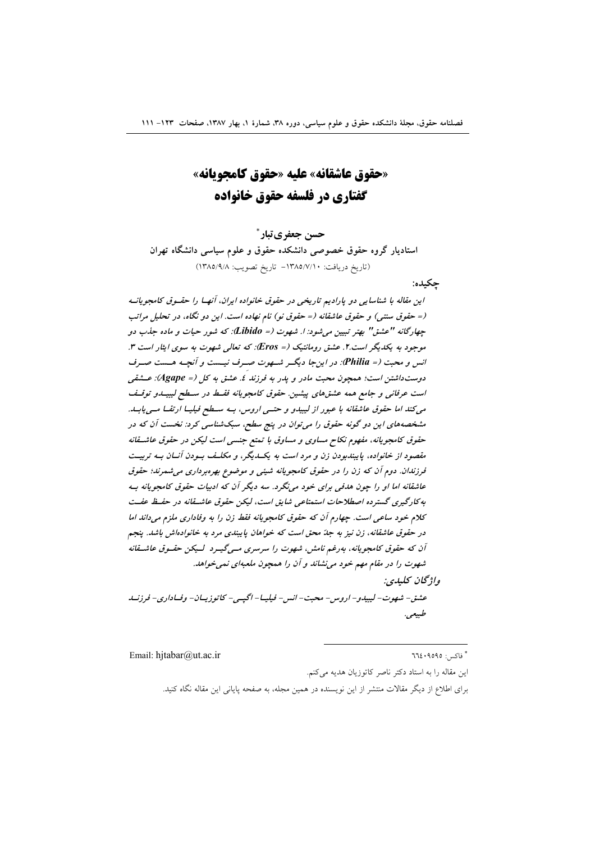«حقوق عاشقانه» عليه «حقوق كامجويانه» گفتاری در فلسفه حقوق خانواده

حسن جعفري تبار \*

استادیار گروه حقوق خصوصی دانشکده حقوق و علوم سیاسی دانشگاه تهران (تاريخ دريافت: ١٣٨٥/٧/١٠ - تاريخ تصويب: ١٣٨٥/٩/٨)

حكىدە:

این مقاله با شناسایی دو پارادیم تاریخی در حقوق خانواده ایران، آنهـا را حقـوق کامجویانـه (= حقوق سنتي) و حقوق عاشقانه (= حقوق نو) نام نهاده است. اين دو نگاه، در تحليل مراتب چهارگانه "عشق" بهتر تبیین می شود: ا. شهوت (= Libido): که شور حیات و ماده جذب دو موجود به یکدیگر است.۲. عشق رومانتیک (= Eros): که تعالی شهوت به سوی ایثار است ۳. انس و محبت (= Philia): در این جا دیگر شهوت صرف نیست و آنچه هست صرف دوست داشتن است؛ همچون محبت مادر و يدر به فرزند ٤. عشق به كل (= Agape): عــشقى است عرفانی و جامع همه عشقهای پیشین. حقوق کامجویانه فقسط در سسطح لیبیسدو توقسف می کند اما حقوق عاشقانه با عبور از لیبیدو و حتمی اروس، بـه سـطح فیلیـا ارتقـا مـی یابـد. مشخصههای این دو گونه حقوق را می توان در پنج سطح، سبکشناسی کرد: نخست آن که در حقوق کامجویانه، مفهوم نکاح مساوی و مساوق با تمتع جنسی است لیکن در حقوق عاشقانه مقصود از خانواده، پایبندبودن زن و مرد است به یک پگر، و مکلـف بـودن آنـان بـه تربیـت فرزندان. دوم آن که زن را در حقوق کامجویانه شیئی و موضوع بهرهبرداری می شمرند؛ حقوق عاشقانه اما او را چون هدفی برای خود می نگرد. سه دیگر آن که ادبیات حقوق کامجویانه به به کارگیری گسترده اصطلاحات استمتاعی شایق است، لیکن حقوق عاشیقانه در حفیظ عفت کلام خود ساعی است. چهارم آن که حقوق کامجویانه فقط زن را به وفاداری ملزم میداند اما در حقوق عاشقانه، زن نیز به جدّ محق است که خواهان پایبندی مرد به خانوادهاش باشد. پنجم آن که حقوق کامجویانه، بهرغم نامش، شهوت را سرسری مسیگیرد کیکن حقسوق عاشقانه شهوت را در مقام مهم خود می نشاند و آن را همچون ملعبهای نمی خواهد. واژگان كليدي: عشق- شهوت- ليبيدو- اروس - محبت- انس - فبلبيا- اڳيس - کاتوزيسان- وفساداري- فرزنسد طبيعي.

Email: hitabar@ut.ac.ir

 $772.9090$  : فاكس

این مقاله را به استاد دکتر ناصر کاتوزیان هدیه میکنم. برای اطلاع از دیگر مقالات منتشر از این نویسنده در همین مجله، به صفحه پایانی این مقاله نگاه کنید.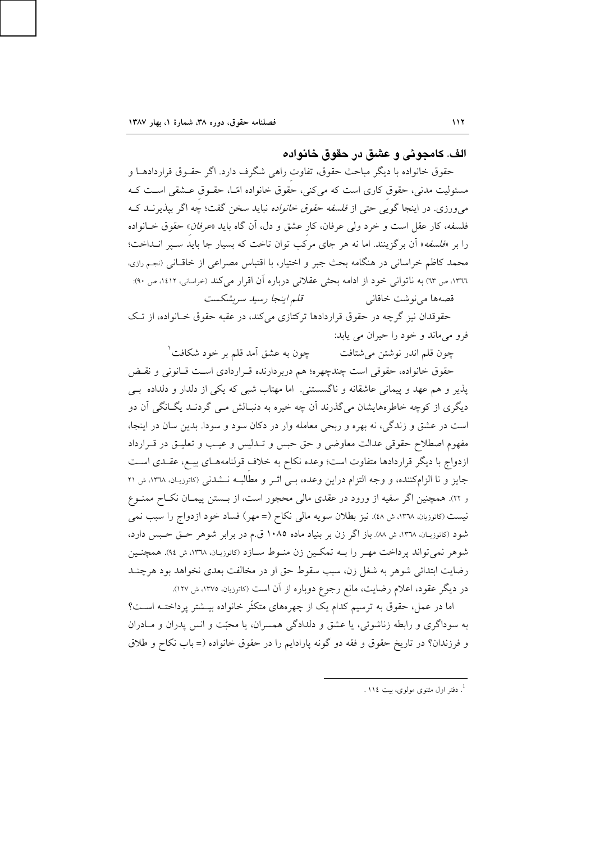الف. كامجوئي و عشق در حقوق خانواده

حقوق خانواده با دیگر مباحث حقوق، تفاوت راهی شگرف دارد. اگر حقــوق قراردادهــا و مسئولیت مدنی، حقوق کاری است که میکنی، حقوق خانواده امّـا، حقـوق عــشقی اســت کــه می ورزی. در اینجا گویی حتی از *فلسفه حقوق خانواده* نباید سخن گفت؛ چه اگر بپذیرنـد کـه فلسفه، كار عقل است و خرد ولي عرفان، كار عشق و دل، أن گاه بايد «*عرفان*» حقوق خــانواده را بر «*فلسفه*» آن برگزینند. اما نه هر جای مرکب توان تاخت که بسیار جا باید سبیر انــداخت؛ محمد كاظم خراساني در هنگامه بحث جبر و اختيار، با اقتباس مصراعي از خاقـاني (نجـم رازي. ١٣٦٦، ص ٦٣) به ناتواني خود از ادامه بحثي عقلاني درباره آن اقرار مي كند (حراساني، ١٤١٢، ص ٩٠): قلم اينجا رسيد سربشكست قصهها می نوشت خاقانی

حقوقدان نیز گرچه در حقوق قراردادها ترکتازی می کند، در عقبه حقوق خـانواده، از تـک فرو مي ماند و خود را حيران مي پابد:

چون به عشق آمد قلم بر خود شکافت ٔ چون قلم اندر نوشتن مي شتافت

حقوق خانواده، حقوقی است چندچهره؛ هم دربردارنده قـراردادی اسـت قـانونی و نقـض یذیر و هم عهد و پیمانی عاشقانه و ناگسستنی. اما مهتاب شبی که یکی از دلدار و دلداده بے دیگری از کوچه خاطرههایشان میگذرند آن چه خیره به دنبـالش مـی گردنـد یگــانگی آن دو است در عشق و زندگی، نه بهره و ربحی معامله وار در دکان سود و سودا. بدین سان در اینجا، مفهوم اصطلاح حقوقي عدالت معاوضي و حق حبس و تـدليس و عيـب و تعليـق در قـرارداد ازدواج با دیگر قراردادها متفاوت است؛ وعده نکاح به خلاف قولنامههـای بیــع، عقـدی اسـت جایز و نا الزامکننده، و وجه التزام دراین وعده، بـی اثـر و مطالبـه نـشدنی (کاتوزیـان، ١٣٦٨، ش ٢١ و ٢٢). همچنین اگر سفیه از ورود در عقدی مالی محجور است، از بـستن پیمـان نکـاح ممنـوع نیست (کاتوزیان، ۱۳٦۸، ش ٤٨). نیز بطلان سویه مالی نکاح (= مهر) فساد خود ازدواج را سبب نمی شود (کاتوزیـان، ١٣٦٨، ش ٨٨). باز اگر زن بر بنیاد ماده ١٠٨٥ ق.م در برابر شوهر حــق حــبس دارد، شوهر نمي تواند يرداخت مهـر را بــه تمكـين زن منــوط ســازد (كاتوزيـان، ١٣٦٨، ش ٩٤). همچنـين رضایت ابتدائی شوهر به شغل زن، سبب سقوط حق او در مخالفت بعدی نخواهد بود هرچنـد در دیگر عقود، اعلام رضایت، مانع رجوع دوباره از آن است (کاتوزیان، ۱۳۷۵، ش ۱۲۷).

اما در عمل، حقوق به ترسیم کدام یک از چهرههای متکثّر خانواده بیــشتر پرداختــه اســت؟ به سوداگری و رابطه زناشوئی، یا عشق و دلدادگی همسران، یا محبّت و انس پدران و مـادران و فرزندان؟ در تاريخ حقوق و فقه دو گونه پارادايم را در حقوق خانواده (= باب نكاح و طلاق

<sup>.</sup> دفتر اول مثنوی مولوی، بیت ١١٤.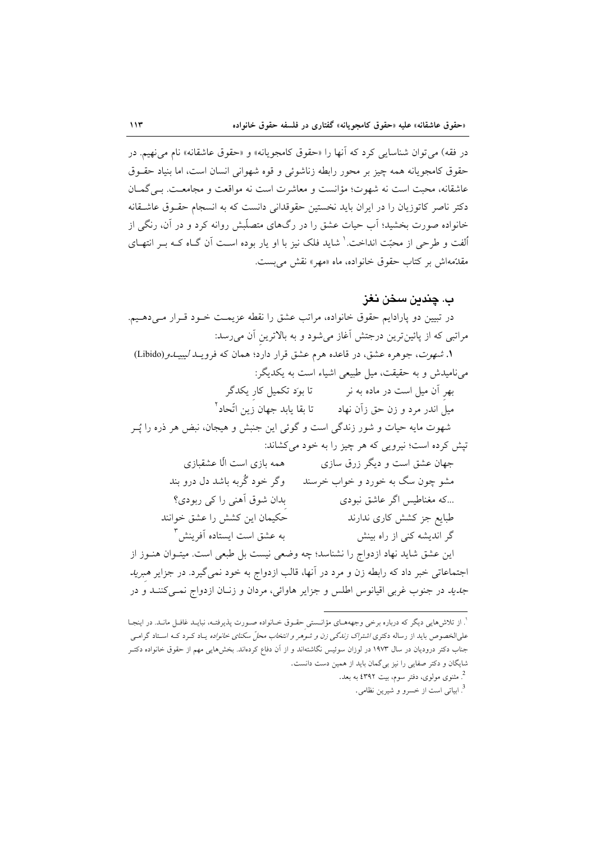در فقه) مي توان شناسايي كرد كه آنها را «حقوق كامجويانه» و «حقوق عاشقانه» نام مي نهيم. در حقوق كامجويانه همه چيز پر محور رابطه زناشوئي و قوه شهواني انسان است، اما بنياد حقـوق عاشقانه، محبت است نه شهوت؛ مؤانست و معاشرت است نه مواقعت و مجامعت. بے گمـان دکتر ناصر کاتوزیان را در ایران باید نخستین حقوقدانی دانست که به انسجام حقـوق عاشـقانه خانواده صورت بخشید؛ آب حیات عشق را در رگهای متصلّبش روانه کرد و در آن، رنگی از اُلفت و طرحی از محبّت انداخت. ` شاید فلک نیز با او پار بوده اسـت آن گــاه کــه بــر انتهــای مقدِّمهاش بر كتاب حقوق خانواده، ماه «مهر» نقش مي بست.

## ب. چندىن سخن نغز

در تبیین دو پارادایم حقوق خانواده، مراتب عشق را نقطه عزیمـت خــود قــرار مــی(دهــیم. مراتبی که از پائینترین درجتش آغاز میشود و به بالاترین آن می رسد: ۱. *شهوت، جوهره عشق، در قاعده هرم عشق قرار دارد؛ همان كه فرويــد ليبيـــدو (Libido*) می نامیدش و به حقیقت، میل طبیعی اشیاء است به یکدیگر: بهر آن میل است در ماده به نر مسمت تا بود تکمیل کار یکدگر شهوت مایه حیات و شور زندگی است و گوئی این جنبش و هیجان، نبض هر ذره را پُــر تیش کرده است؛ نیرویی که هر چیز را به خود میکشاند: همه بازی است الّا عشقبازی جهان عشق است و دیگر زرق سازی مشو چون سگ به خورد و خواب خرسند \_ وگر خود گُربه باشد دل درو بند بدان شوق آهني را کي ربودي؟ ...که مغناطیس اگر عاشق نبودی حكيمان اين كشش را عشق خوانند طبایع جز کشش کاری ندارند به عشق است ایستاده آفرینش ۳ گر اندیشه کنی از راه بینش این عشق شاید نهاد ازدواج را نشناسد؛ چه وضعی نیست بل طبعی است. میتـوان هنـوز از اجتماعاتی خبر داد که رابطه زن و مرد در آنها، قالب ازدواج به خود نمیگیرد. در جزایر *هبرید جدید در جنوب غربی اقیانوس اطلس و جزایر هاوائی، مردان و زن*ان ازدواج نمبی کننــد و در

<sup>.&</sup>lt;br>'. از تلاشهایی دیگر که درباره برخی وجهههـای مؤانــستی حقـوق خــانواده صـورت پذیرفتـه، نبایــد غافــل مانــد. در اینجـا علیالخصوص باید از رساله دکتری *اشتراک زندگی زن و شوهر و انتخاب محلّ سکنای خانواده* یـاد کـرد کـه اسـتاد گرامـی جناب دکتر درودیان در سال ۱۹۷۳ در لوزان سوئیس نگاشتهاند و از آن دفاع کردهاند. بخشهایی مهم از حقوق خانواده دکتـر شایگان و دکتر صفایی را نیز بی گمان باید از همین دست دانست.

<sup>&</sup>lt;sup>2</sup>. مثنوی مولوی، دفتر سوم، بیت ٤٣٩٢ به بعد. <sup>3</sup>. ابیاتی است از خسرو و شیرین نظامی.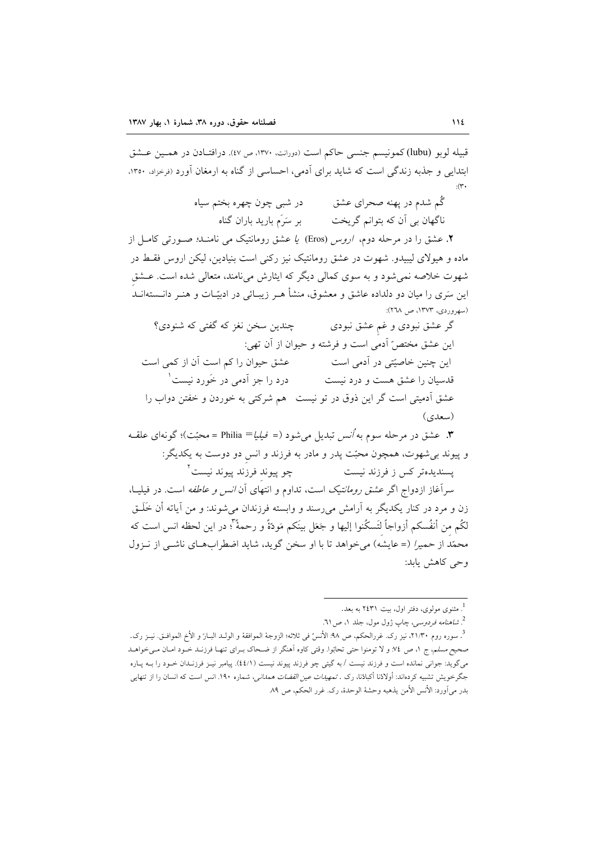قبيله لوبو (lubu)كمونيسم جنسي حاكم است (دورانت، ١٣٧٠، ص ٤٧). درافتـادن در همـين عـشق ابتدایی و جذبه زندگی است که شاید برای آدمی، احساسی از گناه به ارمغان آورد (نرخزاد، ۱۳۵۰،  $\cdot$   $\uparrow$   $\cdot$ 

> گُم شدم در یهنه صحرای عشق در شبی چون چهره بختم سیاه

۲. عشق را در مرحله دوم، ا*روس* (Eros) ی*ا* عشق رومانتیک می نامنـ*د؛ صـورتی کامـل از* ماده و هیولای لیبیدو. شهوت در عشق رومانتیک نیز رکنی است بنیادین، لیکن اروس فقسط در شهوت خلاصه نمی شود و به سوی کمالی دیگر که ایثارش می نامند، متعالی شده است. عـشق این سَری را میان دو دلداده عاشق و معشوق، منشأ هـر زیبــائی در ادبیّــات و هنــر دانـــستهانــد (سهروردي، ١٣٧٣، ص ٢٦٨):

چندین سخن نغز که گفتی که شنودی؟ گر عشق نبودی و غم عشق نبودی اين عشق مختصّ أدمى است و فرشته و حيوان از آن تهي: عشق حیوان را کم است آن از کمی است این چنین خاصیّتی در آدمی است درد را جز آدمی در خَورد نیست ۱ قدسیان را عشق هست و درد نیست عشق آدمیتی است گر این ذوق در تو نیست هم شرکتی به خوردن و خفتن دواب را (سعدی)

**۳**. عشق در مرحله سوم به *أنس* تبدیل می شود (= ف*یلیا*= Philia =محبّت)؛ گونهای علقـه و پیوند برشهوت، همچون محبّت پدر و مادر به فرزند و انس دو دوست به یکدیگر: چو پیوند فرزند پیوند نیست<sup>۲</sup> يسنديدەتر كس ز فرزند نيست

سرآغاز ازدواج اگر عشق *رومانتیک* است، تداوم و انتهای آن *انس و عاطفه* است. در فیلیـا، زن و مرد در کنار یکدیگر به اَرامش می٫سند و وابسته فرزندان میشوند: و من اَیاته أن خَلَــق لكُم من أنفُسكم أزواجاً لتَسكُنوا إليها و جَعَل بينَكم مَودّةً و رحمةً "؛ در اين لحظه انس است كه محمّد از حمیر/ (= عایشه) می خواهد تا با او سخن گوید، شاید اضطرابهای ناشبی از نیزول وحی کاهش یابد:

<sup>2</sup>. *شاهنامه فردوسي، چ*اپ ژول مول، جلد ۱، ص ۲۱.

<sup>.&</sup>lt;br>. مثنوی مولوی، دفتر اول، بیت ۲٤۳۱ به بعد.

<sup>.&</sup>lt;br>3. سوره روم ٢١/٣٠، نيز رک. غررالحکم، ص ٩٨: الأنسُ في ثلاثه؛ الزوجهٔ الموافقهٔ و الولـد البـارَ و الأخ الموافـق. نيــز رک. صحیح مسلم، ج ۱، ص ۷؛ و لا تومنوا حتی تحابَوا. وقتی کاوه اَهنگر از ضـحاک بـرای تنهـا فرزنـد خــود امــان مــی خواهــد میگوید: جوانی نمانده است و فرزند نیست /به گیتی چو فرزند پیوند نیست (٤٤/١). پیامبر نیـز فرزنـدان خــود را بــه پــاره جگرخویش تشبیه کردهاند: أولادُنا أکبادُنا، رک . *تمهیدات عین القضات همدانی،* شماره ۱۹۰. انس است که انسان را از تنهایی بدر مي آورد: الأنس الأمن يذهبه وحشهٔ الوحدهٔ، رک غرر الحکم، ص ۸۹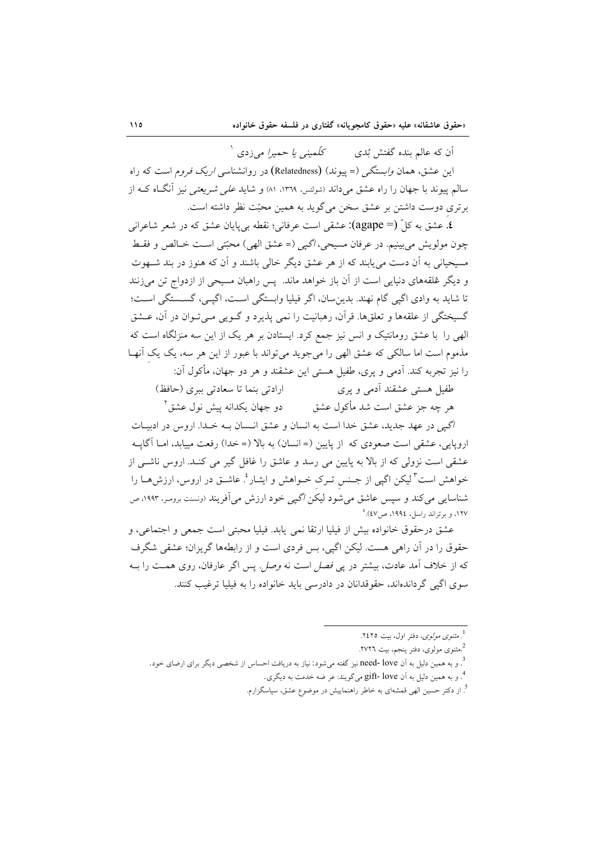کلّمینی یا حمیرا می(دی <sup>۱</sup> اَن که عالم بنده گفتش بُدي این عشق، همان *وابستگی (*= پیوند) (Relatedness) در روانشناس*ی اریک فرو*م است که راه سالم پیوند با جهان را راه عشق میداند (شونتس، ۱۳۶۹، ۸۱) و شاید *علی شریعتی ن*یز آنگIه کـه از برتری دوست داشتن بر عشق سخن میگوید به همین محبّت نظر داشته است.

£. عشق به کا ٌ (= agape): عشقی است عرفانی؛ نقطه بی پایان عشق که در شعر شاعرانی چون مولويش مي بينيم. در عرفان مسيحي، اگيي (= عشق الهي) محبّتي است خــالص و فقــط مسیحیانی به آن دست می یابند که از هر عشق دیگر خالی باشند و آن که هنوز در بند شـهوت و دیگر عُلقههای دنیایی است از آن باز خواهد ماند. پس راهبان مسیحی از ازدواج تن می زنند تا شاید به وادی اگپی گام نهند. بدین سان، اگر فیلیا وابستگی اسـت، اگپـی، گســستگی اســت؛ گسیختگی از علقهها و تعلقها. قرآن، رهبانیت را نمی پذیرد و گـویی مـی تـوان در آن، عــشق الهی را با عشق رومانتیک و انس نیز جمع کرد. ایستادن بر هر یک از این سه منزلگاه است که مذموم است اما سالکی که عشق الهی را میجوید میتواند با عبور از این هر سه، یک یک آنهـا را نيز تجربه كند. آدمي و پري، طفيل هستي اين عشقند و هر دو جهان، مأكول آن:

ارادتی بنما تا سعادتی بیری (حافظ) طفیل هستی عشقند آدمی و پری دو جهان یکدانه پیش نول عشق ٌ هر چه جز عشق است شد مأکول عشق

اگیی در عهد جدید، عشق خدا است به انسان و عشق انـسان بـه خـدا. اروس در ادبیـات اروپایی، عشقی است صعودی که از پایین (= انسان) به بالا (= خدا) رفعت مییابد، امــا آگایــه عشقی است نزولی که از بالا به پایین می رسد و عاشق را غافل گیر می کنـد. اروس ناشـی از خواهش است<sup>۳</sup> لیکن اگپی از جـنس تـرک خــواهش و ایثــار <sup>؛</sup>. عاشــق در اروس، ارزش۵ــا را شناسایی می کند و سپس عاشق می شود لیکن *اگیی* خود ارزش می اَفریند (ونسنت برومر. ۱۹۹۳، ص ١٢٧، و برتراند راسل، ١٩٩٤، ص ٤٧).

عشق درحقوق خانواده بيش از فيليا ارتقا نمي يابد. فيليا محبتي است جمعي و اجتماعي، و حقوق را در آن راهی هست. لیکن اگیی، بس فردی است و از رابطهها گریزان؛ عشقی شگرف که از خلاف آمد عادت، بیشتر در پ*ی فصل* است نه *وصل*. پس اگر عارفان، روی همت را بـه سوی اگیے گرداندهاند، حقوقدانان در دادرسی باید خانواده را به فیلیا ترغیب کنند.

- ٔ. و به همین دلیل به آن gift- love میگویند: عر ضه خدمت به دیگری.
- <sup>5</sup>. از دکتر حسین الهی قمشهای به خاطر راهنماییش در موضوع عشق، سپاسگزارم.

<sup>&</sup>lt;sup>1</sup>. مثن*وی مولوی*، دفتر اول، بیت ۲٤۲٥.

<sup>2.&</sup>lt;br>مثنوی مولوی، دفتر پنجم، بیت ۲۷۲٦.

<sup>&</sup>lt;sup>3</sup>. و به همین دلیل به اَن need- love نیز گفته میشود: نیاز به دریافت احساس از شخصی دیگر برای ارضای خود.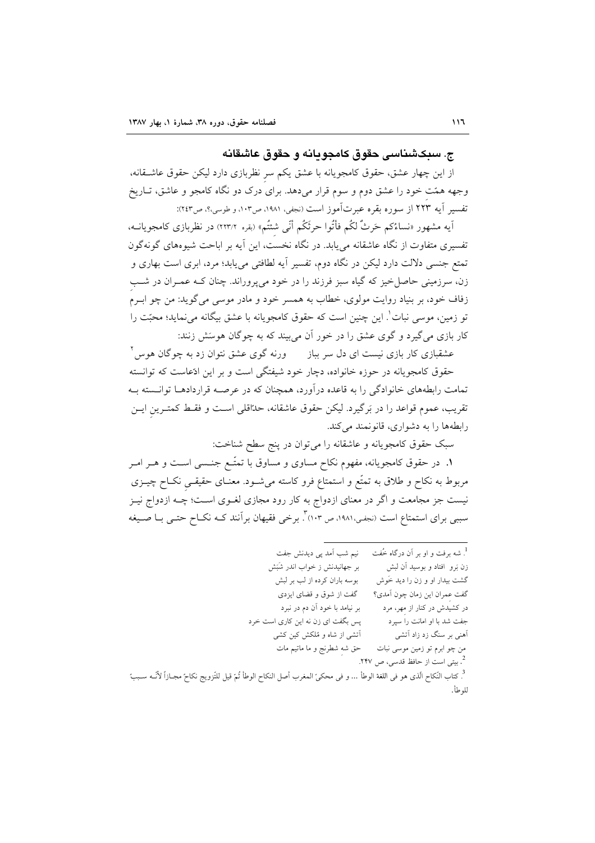### ج. سىڪشىئاسى حقوق كامحو پانه و حقوق عاشقانه

از این چهار عشق، حقوق کامجویانه با عشق یکم سر نظربازی دارد لیکن حقوق عاشــقانه، وجهه همّت خود را عشق دوم و سوم قرار میدهد. برای درک دو نگاه کامجو و عاشق، تـاریخ تفسير آيه ٢٢٣ از سوره بقره عبرتآموز است (نجفي، ١٩٨١، ص١٠٣، و طوسي؛؟، ص٢٤٣):

اَیه مشهور «نساءُکم حَرثٌ لکُم فأتُوا حرثَکُم أنّی شئتُم» (بقره ٢٢٣/٢) در نظربازی کامجویانــه، تفسیری متفاوت از نگاه عاشقانه میbبابد. در نگاه نخست، این آیه بر اباحت شیوههای گونهگون تمتع جنسی دلالت دارد لیکن در نگاه دوم، تفسیر آیه لطافتی می یابد؛ مرد، ابری است بهاری و زن، سرزمینی حاصل خیز که گیاه سبز فرزند را در خود میپروراند. چنان کـه عمـران در شـب زفاف خود، بر بنیاد روایت مولوی، خطاب به همسر خود و مادر موسی میگوید: من چو ابـرم تو زمین، موسی نبات ْ. این چنین است که حقوق کامجویانه با عشق بیگانه میٖنماید؛ محبّت را کار بازی می گیرد و گوی عشق را در خور آن می بیند که به چوگان هوسَش زنند:

عشقبازی کار بازی نیست ای دل سر بباز ورنه گوی عشق نتوان زد به چوگان هوس ٔ حقوق کامجویانه در حوزه خانواده، دچار خود شیفتگی است و بر این ادّعاست که توانسته تمامت رابطههای خانوادگی را به قاعده درآورد، همچنان که در عرصـه قراردادهــا توانــسته بــه تقریب، عموم قواعد را در بَرگیرد. لیکن حقوق عاشقانه، حدّاقلی اسـت و فقــط کمتــرین ایــن رابطهها را به دشواری، قانونمند میکند.

سبک حقوق کامجویانه و عاشقانه را میتوان در پنج سطح شناخت:

۱. در حقوق کامجویانه، مفهوم نکاح مساوی و مساوق با تمتّــع جنــسی اســت و هــر امــر مربوط به نکاح و طلاق به تمتُّع و استمتاع فرو کاسته میشـود. معنـای حقیقـی نکـاح چیــزی نیست جز مجامعت و اگر در معنای ازدواج به کار رود مجازی لغــوی اســت؛ چــه ازدواج نیــز سببی برای استمتاع است (نجفی،۱۹۸۱، ص ۱۰۳". برخی فقیهان برآنند کـه نکـاح حتـی بـا صـیغه

| نیم شب اَمد پی دیدنش جفت                                                                                                              | <sup>1</sup> . شه برفت و او بر آن درگاه خُفت |
|---------------------------------------------------------------------------------------------------------------------------------------|----------------------------------------------|
| بر جهانیدنش ز خواب اندر شَبَش                                                                                                         | زن بَرو افتاد و بوسید آن لبش                 |
| بوسه باران کرده از لب بر لبش                                                                                                          | گشت بیدار او و زن را دید خَوش                |
| گفت از شوق و قضای ایزدی                                                                                                               | گفت عمران اين زمان چون آمدي؟                 |
| بر نیامد با خود آن دم در نبرد                                                                                                         | در کشیدش در کنار از مهر، مرد                 |
| پس بگفت ای زن نه این کاری است خرد                                                                                                     | جفت شد با او امانت را سپرد                   |
| اّتشی از شاه و مُلکش کین کشی                                                                                                          | أهنی بر سنگ زد زاد اَتشی                     |
| حق شه شطرنج و ما ماتیم مات                                                                                                            | من چو ابرم تو زمین موسی نبات                 |
|                                                                                                                                       | <sup>2</sup> . بیتی است از حافظ قدسی، ص ۲۴۷. |
| <sup>3</sup> . كتاب النّكاح الّذى هو فى اللغة الوطأ … و فى محكىّ المغرب أصل النكاح الوطأ تُمّ قيل للتّزويج نكاحً مجـازاً لأنّـه سـببً |                                              |
|                                                                                                                                       | للوطأ.                                       |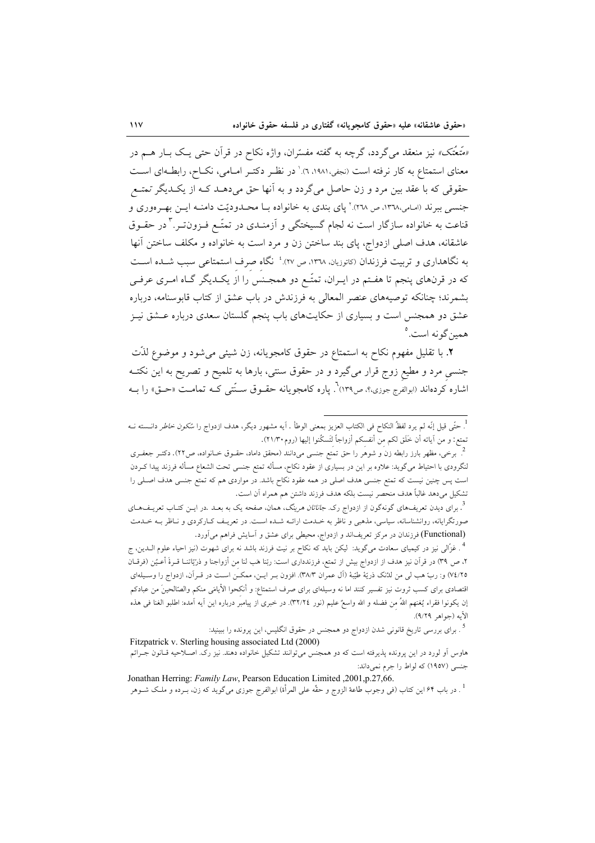*«مَتْعْتَک»* نیز منعقد میگردد، گرچه به گفته مفسّران، واژه نکاح در قرآن حتی یـک بــار هــم در معنای استمتاع به کار نرفته است (نجفی،۱۹۸۱، ۳).' در نظـر دکتـر امـامی، نکــاح، رابطــهای اســت حقوقی که با عقد بین مرد و زن حاصل میگردد و به آنها حق میدهــد کــه از یکــدیگر تـمتــعر جنسی ببرند (اسامی،۱۳٦۸، ص ۲۰۲۸) ٌ پای بندی به خانواده بــا محــدودیّت دامنــه ایــن بهــرهوری و قناعت به خانواده سازگار است نه لجام گسیختگی و آزمنـدی در تمتّـع فـزون تـر.<sup>۳</sup> در حقـوق عاشقانه، هدف اصلی ازدواج، پای بند ساختن زن و مرد است به خانواده و مکلف ساختن آنها به نگاهداری و تربیت فرزندان (کاتوزیان، ١٣٦٨، ص ٢٧). ٔ نگاه صرف استمتاعی سبب شـده اسـت که در قرنهای پنجم تا هفـتم در ایـران، تمتّـع دو همجـنس را از یکـدیگر گـاه امـری عرفـی بشمرند؛ چنانکه توصیههای عنصر المعالی به فرزندش در باب عشق از کتاب قابوسنامه، درباره عشق دو همجنس است و بسیاری از حکایتهای باب پنجم گلستان سعدی درباره عــشق نیــز همين گونه است.°

٢. با تقليل مفهوم نكاح به استمتاع در حقوق كامجويانه، زن شيئي مي شود و موضوع لذَّت جنسی مرد و مطیع زوج قرار میگیرد و در حقوق سنتی، بارها به تلمیح و تصریح به این نکتـه اشاره کردهاند (ابوالفرج جوزی؛؟، ص١٣٩) . پاره کامجو پانه حقـوق سـتّتی کـه تمامـت «حـق» را بـه

<sup>.&</sup>lt;br><sup>1</sup>. حتّى قيل إنّه لم يرد لفظُ النكاح فى الكتاب العزيز بمعنى الوطأ . آيه مشهور ديگر، هدف ازدواج را *سُكون خاطر* دانــسته نــه تمتع: و من آياته أن خَلَق لكم من أنفسكم أزواجاً لتَسكُنوا إليها (روم١٦١/٣٠).

<sup>.&</sup>lt;br>· برخی، مظهر بارز رابطه زن و شوهر را حق تمتع جنسی میدانند (محقق داماد، حقـوق خـانواده، ص۲۲). دکتـر جعفـری لنگرودی با احتیاط میگوید: علاوه بر این در بسیاری از عقود نکاح، مسأله تمتع جنسی تحت الشعاع مسأله فرزند پیدا کـردن است پس چنین نیست که تمتع جنسی هدف اصلی در همه عقود نکاح باشد. در مواردی هم که تمتع جنسی هدف اصـلی را تشكيل مي<هد غالباً هدف منحصر نيست بلكه هدف فرزند داشتن هم همراه آن است.

<sup>&</sup>lt;sup>3</sup>. برای دیدن تعریفهای گونهگون از ازدواج رک. *جاناتان هرینگ*، همان، صفحه یک به بعـد .در ایـن کتـاب تعریــفـهــای صورتگرایانه، روانشناسانه، سیاسی، مذهبی و ناظر به خـدمت ارائــه شـده اسـت. در تعریـف کـارکردی و نــاظر بــه خـدمت (Functional) فرزندان در مركز تعريفاند و ازدواج، محيطي براي عشق و آسايش فراهم مي آورد.

<sup>&</sup>lt;sup>4</sup> . غزّالبي نيز در كيمياي سعادت ميگويد: ليكن بايد كه نكاح بر نيت فرزند باشد نه براي شهوت (نيز احياء علوم الــدين، ج ۲، ص ۳۹) در قرآن نیز هدف از ازدواج بیش از تمتع، فرزندداری است: ربّنا هَب لنا من أزواجنا و ذرّيّاتنــا قــرةَ أعــيُن (فرقــان ۷٤/٢٥) و: ربّ هب لي من للننک ذريّهٔ طيّبهٔ (آل عمران ٣٨/٣). افزون بـر ايــن، ممکــن اســت در قــراَن، ازدواج را وســيلهاى اقتصادی برای کسب ثروت نیز تفسیر کنند اما نه وسیلهای برای صرف استمتاع: و أنکحوا الأیامَی منکم والصّالحینَ من عبادکم إن يكونوا فقراء يُغنهم اللهُ من فضله و الله واسعٌ عليم (نور ٣٢/٢٤). در خبري از پيامبر درباره اين آيه آمده: اطلبو الغنا في هذه الأيه (جواهر ٩/٢٩).

<sup>&</sup>lt;sup>5</sup> . برای بررسی تاریخ قانونی شدن ازدواج دو همجنس در حقوق انگلیس، این پرونده را ببینید:

Fitzpatrick v. Sterling housing associated Ltd (2000) هاوس اَو لورد در این پرونده پذیرفته است که دو همجنس میتوانند تشکیل خانواده دهند. نیز رکّ. اصـلاحیه قـانون جـّـرائم جنسي (١٩٥٧) كه لواط را جرم نمي داند:

Jonathan Herring: Family Law, Pearson Education Limited , 2001, p.27, 66. <sup>1</sup> . در باب ۶۴ این کتاب (فی وجوب طاعهٔ الزوج و حقّه علی المرأة) ابوالفرج جوزی میگوید که زن، بــرده و ملـک شــوهر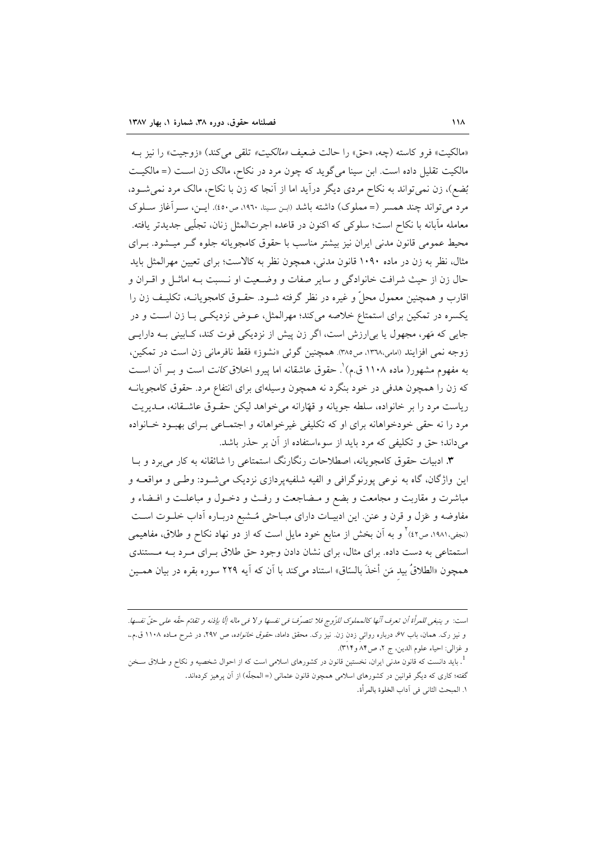«مالكيت» فرو كاسته (جه، «حق» را حالت ضعيف *«مالكيت»* تلقى مى كند) «زوجيت» را نيز بـه مالکیت تقلیل داده است. ابن سینا می گوید که چون مرد در نکاح، مالک زن است (= مالکیت بُضع)، زن نمي تواند به نكاح مردي ديگر درآيد اما از آنجا كه زن با نكاح، مالك مرد نمي شـود، مرد می تواند چند همسر (= مملوک) داشته باشد (ابن سینا، ١٩٦٠، ص٤٥٠). ایـن، سـرآغاز سـلوک معامله مآبانه با نكاح است؛ سلوكي كه اكنون در قاعده اجرتالمثل زنان، تجلَّيي جديدتر يافته. محیط عمومی قانون مدنی ایران نیز بیشتر مناسب با حقوق کامجویانه جلوه گـر میـشود. بـرای مثال، نظر به زن در ماده ۱۰۹۰ قانون مدنی، همچون نظر به کالاست؛ برای تعیین مهرالمثل باید حال زن از حيث شرافت خانوادگي و ساير صفات و وضـعيت او نــسبت بــه اماثــل و اقــران و اقارب و همچنین معمول محلٌّ و غیره در نظر گرفته شـود. حقـوق کامجویانــه، تکلیـف زن را يكسره در تمكين براي استمتاع خلاصه ميكند؛ مهرالمثل، عــوض نزديكــي بــا زن اســت و در جایی که مَهر، مجهول یا بی|رزش است، اگر زن پیش از نزدیکی فوت کند، کـابینی بـه دارایـی زوجه نمي افزايند (امامي،١٣٦٨، ص٣٨٥). همچنين گوئي «نشوز» فقط نافرماني زن است در تمكين، به مفهوم مشهور( ماده ۱۱۰۸ ق.م) ْ. حقوق عاشقانه اما پیرو اخلاق *کانت* است و بــر آن اســت که زن را همچون هدفی در خود بنگرد نه همچون وسیلهای برای انتفاع مرد. حقوق کامجویانــه ریاست مرد را بر خانواده، سلطه جویانه و قهّارانه میخواهد لیکن حقـوق عاشـقانه، مـدیریت مرد را نه حقی خودخواهانه برای او که تکلیفی غیرخواهانه و اجتمـاعی بـرای بهبـود خـانواده میداند؛ حق و تکلیفی که مرد باید از سوءاستفاده از آن بر حذر باشد.

**۳**. ادبیات حقوق کامجویانه، اصطلاحات رنگارنگ استمتاعی را شائقانه به کار می برد و بــا این واژگان، گاه به نوعی پورنوگرافی و الفیه شلفیهپردازی نزدیک میشـود: وطـی و مواقعــه و مباشرت و مقاربت و مجامعت و بضع و مـضاجعت و رفـث و دخـول و مباعلـت و افـضاء و مفاوضه و عَزل و قرن و عنن. این ادبیـات دارای مبـاحثی مُــشبع دربـاره آداب خلــوت اســت (نجفی،۱۹۸۱، ص٤٢) ٌ و به آن بخش از منابع خود مایل است که از دو نهاد نکاح و طلاق، مفاهیمی استمتاعی به دست داده. برای مثال، برای نشان دادن وجود حق طلاق بهرای مرد بـه مـستندی همچون «الطلاقُ بيد مَن أخذَ بالسّاق» استناد ميكند با آن كه آيه ٢٢٩ سوره بقره در بيان همــين

است: و ينبغي للمرأة أن تعرف أنّها كالمملوك للزّوج فلا تتصرّف في نفسها و لا في ماله إلّا بإذنه و تقدّم حقّه على حقّ نفسها. و نیز رک. همان، باب ۶۷، درباره روائ<sub>ی</sub> زدن زن. نیز رک. محقق داماد، *حقوق خانواده، ص* ۲۹۷، در شرح مـاده ۱۱۰۸ ق.م.، و غزالي: احياء علوم الدين، ج ٢، ص٨۴ و٣١٣).

<sup>&</sup>lt;sup>1</sup>. باید دانست که قانون مدن<sub>می</sub> ایران، نخستین قانون در کشورهای اسلامی است که از احوال شخصیه و نکاح و طـلاق سـخن گفته؛ کاری که دیگر قوانین در کشورهای اسلامی همچون قانون عثمانی (= المجلّه) از آن پرهیز کردهاند. ١. المبحث الثاني في أداب الخلوة بالمرأة.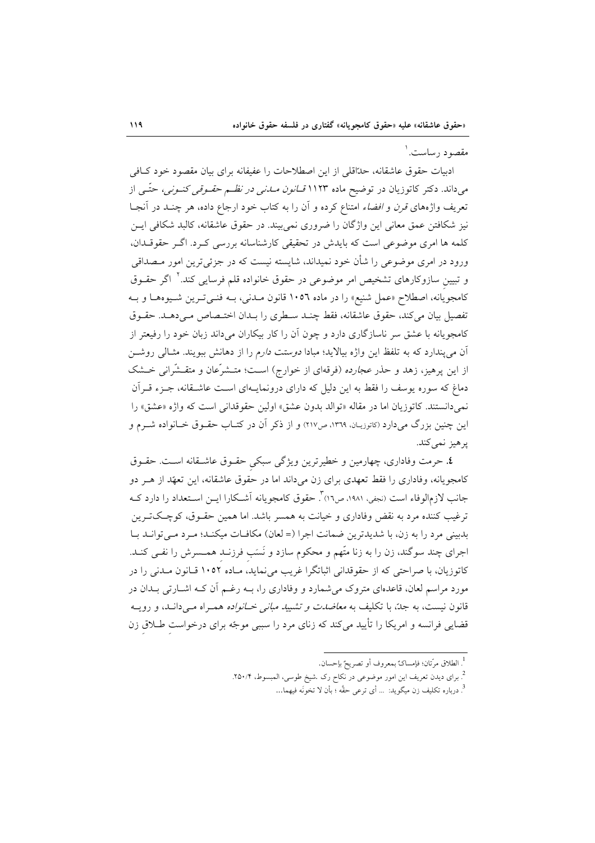### مقصود رساست. ۱

ادبیات حقوق عاشقانه، حدّاقلی از این اصطلاحات را عفیفانه برای بیان مقصود خود کـافی میداند. دکتر کاتوزیان در توضیح ماده ۱۱۲۳ *قــانون مــانی در نظــم حقــوقی کنــونی،* حتّــی از تعریف واژههای *قرن و افضاء* امتناع کرده و آن را به کتاب خود ارجاع داده، هر چنــد در آنجــا نیز شکافتن عمق معانی این واژگان را ضروری نمی بیند. در حقوق عاشقانه، کالبد شکافی ایــن کلمه ها امری موضوعی است که بایدش در تحقیقی کارشناسانه بررسی کـرد. اگـر حقوقـدان، ورود در امری موضوعی را شأن خود نمیداند، شایسته نیست که در جزئی ترین امور مـصداقی و تبیین سازوکارهای تشخیص امر موضوعی در حقوق خانواده قلم فرسایی کند.<sup>۲</sup> اگر حقــوق کامجویانه، اصطلاح «عمل شنیع» را در ماده ۱۰۵٦ قانون مـدنی، بـه فنـیترین شـیوهمـا و بـه تفصيل بيان مي كند، حقوق عاشقانه، فقط چنـد سـطري را بـدان اختـصاص مـي دهـد. حقـوق کامجویانه با عشق سر ناسازگاری دارد و چون آن را کار بیکاران میداند زبان خود را رفیعتر از آن می پندارد که به تلفظ این واژه بیالاید؛ مبادا *دوستت دارم* را از دهانش ببویند. مثـالی روشــن از این پرهیز، زهد و حذر *عجارده* (فرقهای از خوارج) است؛ متـشرِّعان و متقـشَّرانی خــشک دماغ که سوره یوسف را فقط به این دلیل که دارای درونمایـهای اسـت عاشـقانه، جـزء قـرآن نمیدانستند. کاتوزیان اما در مقاله «توالد بدون عشق» اولین حقوقدانی است که واژه «عشق» را این چنین بزرگ میدارد (کاتوزیـان، ١٣٦٩، ص٢١٧) و از ذکر آن در کتـاب حقــوق خــانواده شــرم و پرهيز نمي كند.

٤. حرمت وفاداري، چهارمين و خطيرترين ويژگي سبكي حقـوق عاشـقانه اسـت. حقـوق کامجویانه، وفاداری را فقط تعهدی برای زن میداند اما در حقوق عاشقانه، این تعهّد از هـر دو جانب لازمالوفاء است (نجفي، ١٩٨١، ص١٦)". حقوق كامجويانه آشـكارا ايــن اسـتعداد را دارد كــه ترغیب کننده مرد به نقض وفاداری و خیانت به همسر باشد. اما همین حقـوق، کوچـکتـرین بدبینی مرد را به زن، با شدیدترین ضمانت اجرا (= لعان) مکافـات میکنـد؛ مـرد مـی توانـد بـا اجرای چند سوگند، زن را به زنا متّهم و محکوم سازد و نَسَب فرزنـد همــسرش را نفـی کنـد. کاتوزیان، با صراحتی که از حقوقدانی اثباتگرا غریب میiماید، مـاده ۱۰۵۲ قــانون مــدنی را در مورد مراسم لعان، قاعدهای متروک می شمارد و وفاداری را، بـه رغـم آن کـه اشــارتی بــدان در قانون نیست، به جدّ، با تکلیف به *معاضدت و تشیید مبانی خــانواده همـراه مـی*دانـد، و رویــه قضایی فرانسه و امریکا را تأیید میکند که زنای مرد را سببی موجّه برای درخواست طـلاق زن

<sup>&</sup>lt;sup>1</sup>. الطلاق مرّتان؛ فإمساكٌ بمعروف أو تصريحٌ بإحسان.

<sup>&</sup>lt;sup>2</sup>. برای دیدن تعریف این امور موضوعی در نکاح رک .شیخ طوسی، المبسوط، ۲۵۰/۴.

<sup>&</sup>lt;sup>3</sup>. درباره تكليف زن ميگويد: ... أي ترعى حقَّه ؛ بأن لا تخونَه فيهما...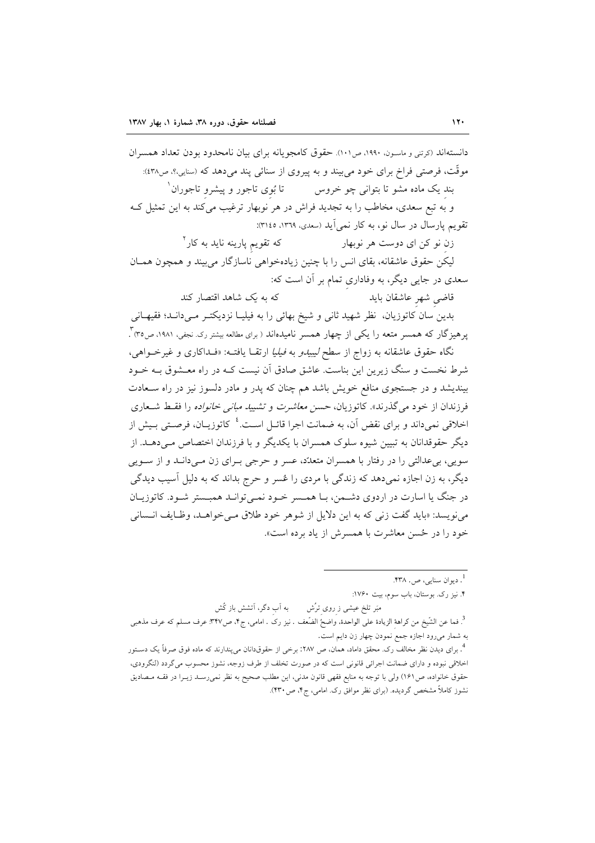دانستهاند (کرتنی و ماسون، ۱۹۹۰، ص۱۰۱). حقوق کامجو یانه برای بیان نامحدود بودن تعداد همسران موقَّت، فرصتي فراخ براي خود مي بيند و به پيروي از سنائي پند مي دهد كه (سنايي،؟، ص٤٣٨): بند یک ماده مشو تا بتوان<sub>ی</sub> چو خروس تا بُوی تاجور و پیشرو تاجوران ْ و به تبع سعدی، مخاطب را به تجدید فراش در هر نوبهار ترغیب میکند به این تمثیل ک تقویم یارسال در سال نو، به کار نمی آید (سعدی، ١٣٦٩، ١٣١٤): که تقویم پارینه ناید به کار<sup>۲</sup> زن نو کن ای دوست هر نوبهار

لیکن حقوق عاشقانه، بقای انس را با چنین زیادهخواهی ناسازگار می بیند و همچون همـان سعدی در جایی دیگر، به وفاداری تمام بر آن است که:

> که به ی*ک* شاهد اقتصار کند قاضي شهر عاشقان بايد

بدین سان کاتوزیان، نظر شهید ثانی و شیخ بهائی را به فیلیـا نزدیکتـر مـی(دانـد؛ فقیهـانی پرهیزگار که همسر متعه را یکی از چهار همسر نامیدهاند ( برای مطالعه بیشتر رک نجفی، ۱۹۸۱، ص۳۵) ً.

نگاه حقوق عاشقانه به زواج از سط*ح لیبیدو به فیلیا ا*رتقـا یافتـه: «فـداکاری و غیرخـواهی، شرط نخست و سنگ زیرین این بناست. عاشق صادق آن نیست کـه در راه معـشوق بـه خــود بیندیشد و در جستجوی منافع خویش باشد هم چنان که پدر و مادر دلسوز نیز در راه سـعادت فرزندان از خود می گذرند». کاتوزیان، حس*ن معاشرت و تشیید مبانی خانواده ر*ا فقسط شـعاری اخلاقی نمی داند و برای نقض آن، به ضمانت اجرا قائـل اسـت.<sup>؛</sup> کاتوزیــان، فرصـتی بـیش از دیگر حقوقدانان به تبیین شیوه سلوک همسران با یکدیگر و با فرزندان اختصاص مـی۵هــد. از سويي، بيءللتي را در رفتار با همسران متعدّد، عسر و حرجي بـراي زن مـي دانــد و از ســويي دیگر، به زن اجازه نمیدهد که زندگی با مردی را عُسر و حرج بداند که به دلیل آسیب دیدگی در جنگ یا اسارت در اردوی دشمن، بـا همـسر خـود نمـیتوانـد همبـستر شـود. كاتوزيـان می نویسد: «باید گفت زنی که به این دلایل از شوهر خود طلاق مـی خواهـد، وظـایف انـسانی خود را در ځسن معاشرت با همسرش از باد برده است».

به آب دگر، آتشش باز کُش مبَر تلخ عیشی ز روی ترُش

ا<br>. ديوان سنايي، ص. ۴۳۸. ۴. نیز رک. بوستان، باب سوم، بیت ۱۷۶۰:

<sup>&</sup>lt;sup>3</sup>. فما عن الشَّيخ من كراهة الزيادة على الواحدة. واضحُ الضَّعف . نيز رک . امامي، ج۴، ص٣٢٧. عرف مسلم كه عرف مذهبي به شمار میرود اجازه جمع نمودن چهار زن دایم است.

<sup>&</sup>lt;sup>4</sup>. برای دیدن نظر مخالف رک. محقق داماد، همان، ص ۲۸۷: برخی از حقوقدانان میپندارند که ماده فوق صرفاً یک دســتور اخلاقی نبوده و دارای ضمانت اجرائی قانونی است که در صورت تخلف از طرف زوجه، نشوز محسوب میگردد (لنگرودی، حقوق خانواده، ص١۶١) ولي با توجه به منابع فقهي قانون مدني، اين مطلب صحيح به نظر نميررسـد زيـرا در فقــه مــصاديق نشوز کاملاً مشخص گردیده. (برای نظر موافق رک. امامی، ج۴، ص ۴۳۰).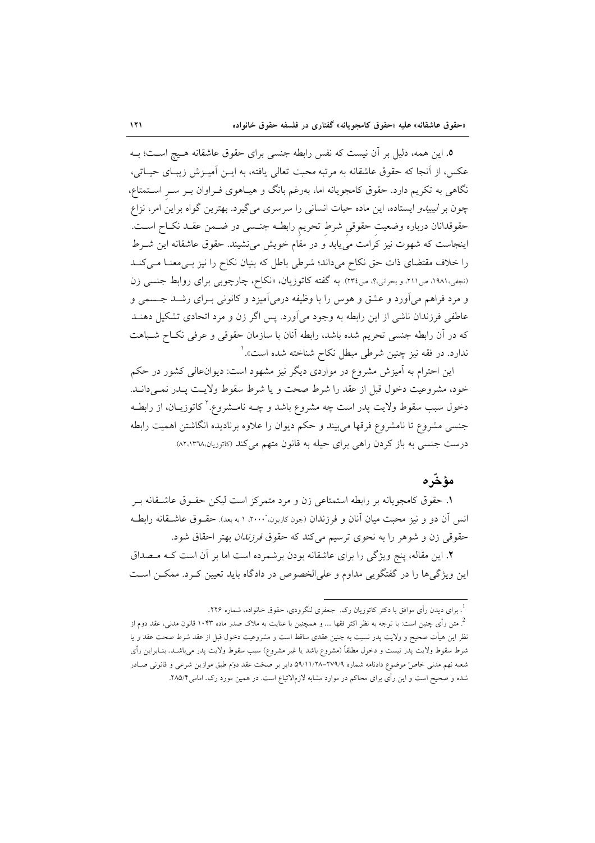٥. این همه، دلیل بر آن نیست که نفس رابطه جنسی برای حقوق عاشقانه هـیچ اسـت؛ بـه عکس، از آنجا که حقوق عاشقانه به مرتبه محبت تعالی یافته، به ایـن آمیـزش زیبـای حیـاتی، نگاهی به تکریم دارد. حقوق کامجویانه اما، بهرغم بانگ و هیـاهوی فــراوان بــر ســر اســتمتاع، چون بر *لیبیدو* ایستاده، این ماده حیات انسانی را سرسری می گیرد. بهترین گواه براین امر، نزاع حقوقدانان درباره وضعيت حقوقي شرط تحريم رابطـه جنـسي در ضـمن عقـد نكـاح اسـت. اینجاست که شهوت نیز کرامت می یابد و در مقام خویش می نشیند. حقوق عاشقانه این شـرط را خلاف مقتضای ذات حق نکاح میداند؛ شرطی باطل که بنیان نکاح را نیز بےمعنـا مـیکنـد (نجفی،١٩٨١، ص٢١١، و بحرانی،؟، ص٣٢٤). به گفته كاتوزيان، «نكاح، چارچوبي براي روابط جنسي زن و مرد فراهم میآورد و عشق و هوس را با وظیفه درمیآمیزد و کانونی بـرای رشــد جــسمی و عاطفي فرزندان ناشي از اين رابطه به وجود مي آورد. پس اگر زن و مرد اتحادي تشكيل دهنــد كه در آن رابطه جنسي تحريم شده باشد، رابطه آنان با سازمان حقوقي و عرفي نكـاح شـباهت ندارد. در فقه نیز چنین شرطی مبطل نکاح شناخته شده است».<sup>۱</sup>

این احترام به آمیزش مشروع در مواردی دیگر نیز مشهود است: دیوانءالی کشور در حکم خود، مشروعيت دخول قبل از عقد را شرط صحت و يا شرط سقوط ولايت پيدر نمبے دانيد. دخول سبب سقوط ولایت پدر است چه مشروع باشد و چــه نامــشروع.' کاتوزیــان، از رابطــه جنسی مشروع تا نامشروع فرقها می بیند و حکم دیوان را علاوه برنادیده انگاشتن اهمیت رابطه درست جنسی به باز کردن راهی برای حیله به قانون متهم میکند (کاتوزیان،۸۲،۱۳۷۸).

## مؤخّره

١. حقوق كامجويانه بر رابطه استمتاعي زن و مرد متمركز است ليكن حقـوق عاشـقانه بـر انس آن دو و نیز محبت میان آنان و فرزندان (جون کاربون، ۲۰۰۰، ۱ به بعد). حقــوق عاشــقانه رابطــه حقوقی زن و شوهر را به نحوی ترسیم میکند که حقوق *فرزندان* بهتر احقاق شود.

٢. این مقاله، پنج ویژگی را برای عاشقانه بودن برشمرده است اما بر آن است کـه مـصداق این ویژگی ها را در گفتگویی مداوم و علیالخصوص در دادگاه باید تعیین کـرد. ممکــن اســت

<sup>&</sup>lt;sup>1</sup>. برای دیدن رأی موافق با دکتر کاتوزیان رک. جعفری لنگرودی، حقوق خانواده، شماره ۲۲۶.

<sup>&</sup>lt;sup>2</sup>. متن رأى چنين است: با توجه به نظر اكثر فقها … و همچنين با عنايت به ملاک صدر ماده ۱۰۴۳ قانون مدنى، عقد دوم از نظر این هیأت صحیح و ولایت پدر نسبت به چنین عقدی ساقط است و مشروعیت دخول قبل از عقد شرط صحت عقد و یا شرط سقوط ولایت پدر نیست و دخول مطلقاً (مشروع باشد یا غیر مشروع) سبب سقوط ولایت پدر میباشـد. بنــابراین رأی شعبه نهم مدنی خاص موضوع دادنامه شماره ۷۹/۹-۲۷۹/۸-۵۹/۱۱/۲۸ دایر بر صحت عقد دوّم طبق موازین شرعی و قانونی صـادر شده و صحیح است و این رأی برای محاکم در موارد مشابه لازمالاتباع است. در همین مورد رک. امامی۲۸۵/۴.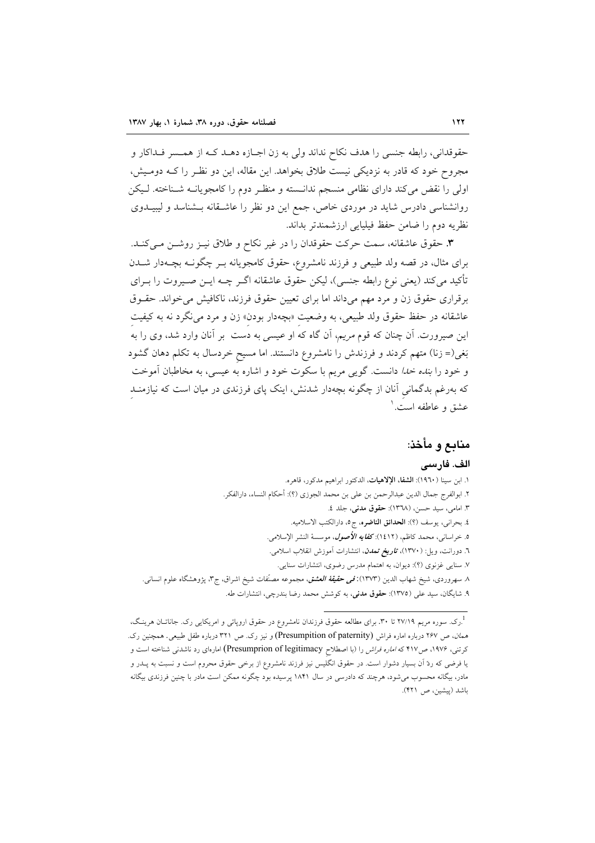حقوقداني، رابطه جنسي را هدف نكاح نداند ولي به زن اجـازه دهـد كـه از همـسر فـداكار و مجروح خود که قادر به نزدیکی نیست طلاق بخواهد. این مقاله، این دو نظـر را کـه دومـیش، اولی را نقض میکند دارای نظامی منسجم ندانسته و منظـر دوم را کامجویانــه شـناخته. لـیکن روانشناسی دادرس شاید در موردی خاص، جمع این دو نظر را عاشـقانه بــشناسد و لیبیــدوی نظريه دوم را ضامن حفظ فيليايي ارزشمندتر بداند.

**۳**. حقوق عاشقانه، سمت حركت حقوقدان را در غير نكاح و طلاق نيـز روشـن مـى كنـد. برای مثال، در قصه ولد طبیعی و فرزند نامشروع، حقوق کامجویانه بـر چگونـه بچـهدار شــدن تأكيد مي كند (يعني نوع رابطه جنسي)، ليكن حقوق عاشقانه اگـر چــه ايــن صــيروت را بــراي برقراری حقوق زن و مرد مهم میداند اما برای تعیین حقوق فرزند، ناکافیش میخواند. حقـوق عاشقانه در حفظ حقوق ولد طبيعي، به وضعيت «بچهدار بودن» زن و مرد مي نگرد نه به كيفيت این صیرورت<sub>.</sub> آن چنان که قوم *مریم*، آن گاه که او عی*سی* به دست بر آنان وارد شد، وی را به<sup>ُ</sup> بَغی(= زنا) متهم کردند و فرزندش را نامشروع دانستند. اما مسیح خردسال به تکلم دهان گشود و خود را *بنده خدا* دانست. گویی مریم با سکوت خود و اشاره به عیسی، به مخاطبان آموخت که بهرغم بدگمانی آنان از چگونه بچهدار شدنش، اینک پای فرزندی در میان است که نیازمنـد عشق و عاطفه است. '

# منابع و مأخذ:

## الف. فارسى

١. ابن سينا (١٩٦٠): الشفا، الإلاهيات، الدكتور ابراهيم مدكور، قاهره. ٢. ابوالفرج جمال الدين عبدالرحمن بن على بن محمد الجوزي (؟): أحكام النساء، دارالفكر. ٣. امامي، سيد حسن، (١٣٦٨): حقوق مدني، جلد ٤. ٤. بحراني، يوسف (؟): الحدائق الناضره، ج٥، دارالكتب الاسلاميه. ٥. خراسان<sub>ى</sub>، محمد كاظم، (١٤١٢): **كف***ايه الأصول***،** موسسهٔ النشر الإسلامى. ٦. دورانت، ويل: (١٣٧٠)، ت*اريخ تمدن*، انتشارات آموزش انقلاب اسلامي. ۷. سنایی غزنوی (؟): دیوان، به اهتمام مدرس رضوی، انتشارات سنایی. ۸ سهروردی، شیخ شهاب الدین (۱۳۷۳):قمی حق*یقهٔ العشق*، مجموعه مصنّفات شیخ اشراق، ج۳، پژوهشگاه علوم انسانی. ۹. شایگان، سید علی (۱۳۷۵): حقوق مدنی، به کوشش محمد رضا بندرچی، انتشارات طه.

<sup>.&</sup>lt;br>درک. سوره مریم ۲۷/۱۹ تا ۳۰. برای مطالعه حقوق فرزندان نامشروع در حقوق اروپائی و امریکایی رک. جاناتــان هرینـگ، هم*ان، ص ۲۶۷* درباره اماره فراش (Presumpition of paternity) و نیز رک. ص ۳۲۱ درباره طفل طبیعی. همچنین رک. کرتنی، ۱۹۷۶، ص۱۱۷ که *اماره فراش* را (با اصطلاح Presumprion of legitimacy) امارهای رد ناشدنی شناخته است و یا فرضی که ردّ آن بسیار دشوار است. در حقوق انگلیس نیز فرزند نامشروع از برخی حقوق محروم است و نسبت به پــدر و مادر، بیگانه محسوب میشود، هرچند که دادرسی در سال ۱۸۴۱ پرسیده بود چگونه ممکن است مادر با چنین فرزندی بیگانه باشد (پیشین، ص ۴۲۱).